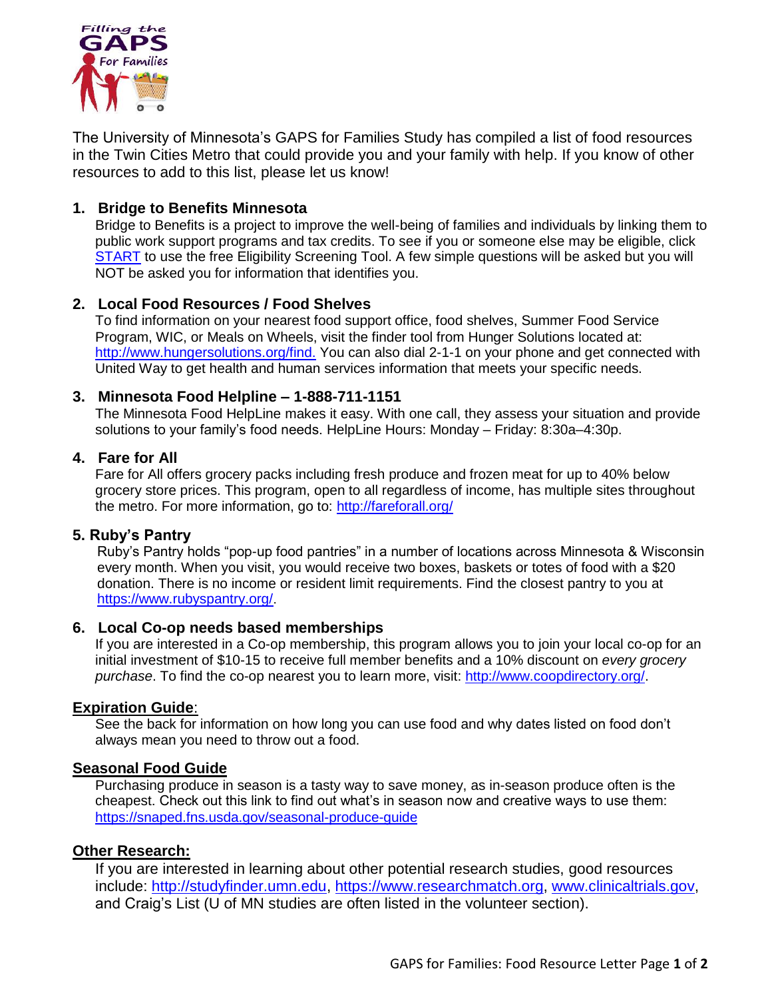

The University of Minnesota's GAPS for Families Study has compiled a list of food resources in the Twin Cities Metro that could provide you and your family with help. If you know of other resources to add to this list, please let us know!

## **1. Bridge to Benefits Minnesota**

Bridge to Benefits is a project to improve the well-being of families and individuals by linking them to public work support programs and tax credits. To see if you or someone else may be eligible, click [START](http://mn.bridgetobenefits.org/start_screening.html) to use the free Eligibility Screening Tool. A few simple questions will be asked but you will NOT be asked you for information that identifies you.

### **2. Local Food Resources / Food Shelves**

To find information on your nearest food support office, food shelves, Summer Food Service Program, WIC, or Meals on Wheels, visit the finder tool from Hunger Solutions located at: [http://www.hungersolutions.org/find.](http://www.hungersolutions.org/find) You can also dial 2-1-1 on your phone and get connected with United Way to get health and human services information that meets your specific needs.

#### **3. Minnesota Food Helpline – 1-888-711-1151**

The Minnesota Food HelpLine makes it easy. With one call, they assess your situation and provide solutions to your family's food needs. HelpLine Hours: Monday – Friday: 8:30a–4:30p.

#### **4. Fare for All**

Fare for All offers grocery packs including fresh produce and frozen meat for up to 40% below grocery store prices. This program, open to all regardless of income, has multiple sites throughout the metro. For more information, go to:<http://fareforall.org/>

#### **5. Ruby's Pantry**

Ruby's Pantry holds "pop-up food pantries" in a number of locations across Minnesota & Wisconsin every month. When you visit, you would receive two boxes, baskets or totes of food with a \$20 donation. There is no income or resident limit requirements. Find the closest pantry to you at <https://www.rubyspantry.org/>.

#### **6. Local Co-op needs based memberships**

If you are interested in a Co-op membership, this program allows you to join your local co-op for an initial investment of \$10-15 to receive full member benefits and a 10% discount on *every grocery purchase*. To find the co-op nearest you to learn more, visit: [http://www.coopdirectory.org/.](http://www.coopdirectory.org/)

#### **Expiration Guide**:

See the back for information on how long you can use food and why dates listed on food don't always mean you need to throw out a food.

#### **Seasonal Food Guide**

Purchasing produce in season is a tasty way to save money, as in-season produce often is the cheapest. Check out this link to find out what's in season now and creative ways to use them: <https://snaped.fns.usda.gov/seasonal-produce-guide>

#### **Other Research:**

If you are interested in learning about other potential research studies, good resources include: [http://studyfinder.umn.edu,](http://studyfinder.umn.edu/) [https://www.researchmatch.org,](https://www.researchmatch.org/) [www.clinicaltrials.gov,](http://www.clinicaltrials.gov/) and Craig's List (U of MN studies are often listed in the volunteer section).